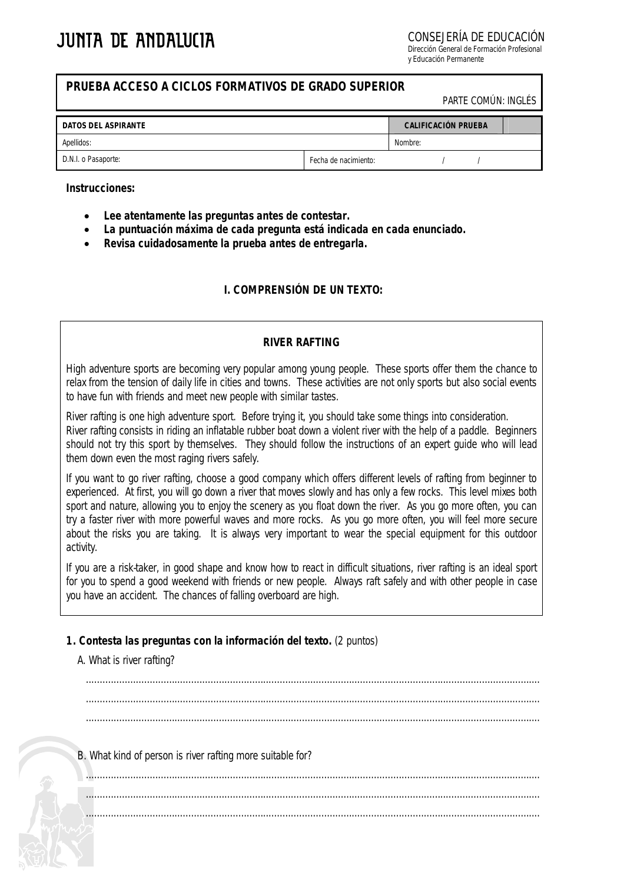CONSEJERÍA DE EDUCACIÓN

Dirección General de Formación Profesional y Educación Permanente

# **PRUEBA ACCESO A CICLOS FORMATIVOS DE GRADO SUPERIOR**

PARTE COMÚN: INGLÉS

| DATOS DEL ASPIRANTE | <b>CALIFICACIÓN PRUEBA</b> |         |  |  |
|---------------------|----------------------------|---------|--|--|
| Apellidos:          |                            | Nombre: |  |  |
| D.N.I. o Pasaporte: | Fecha de nacimiento:       |         |  |  |

#### **Instrucciones:**

- **Lee atentamente las preguntas antes de contestar.**
- **La puntuación máxima de cada pregunta está indicada en cada enunciado.**
- **Revisa cuidadosamente la prueba antes de entregarla.**

# **I. COMPRENSIÓN DE UN TEXTO:**

#### *RIVER RAFTING*

High adventure sports are becoming very popular among young people. These sports offer them the chance to relax from the tension of daily life in cities and towns. These activities are not only sports but also social events to have fun with friends and meet new people with similar tastes.

River rafting is one high adventure sport. Before trying it, you should take some things into consideration. River rafting consists in riding an inflatable rubber boat down a violent river with the help of a paddle. Beginners should not try this sport by themselves. They should follow the instructions of an expert guide who will lead them down even the most raging rivers safely.

If you want to go river rafting, choose a good company which offers different levels of rafting from beginner to experienced. At first, you will go down a river that moves slowly and has only a few rocks. This level mixes both sport and nature, allowing you to enjoy the scenery as you float down the river. As you go more often, you can try a faster river with more powerful waves and more rocks. As you go more often, you will feel more secure about the risks you are taking. It is always very important to wear the special equipment for this outdoor activity.

If you are a risk-taker, in good shape and know how to react in difficult situations, river rafting is an ideal sport for you to spend a good weekend with friends or new people. Always raft safely and with other people in case you have an accident. The chances of falling overboard are high.

## **1. Contesta las preguntas con la información del texto.** (2 puntos)

## A. What is river rafting?

.................................................................................................................................................................... .................................................................................................................................................................... ....................................................................................................................................................................

B. What kind of person is river rafting more suitable for?